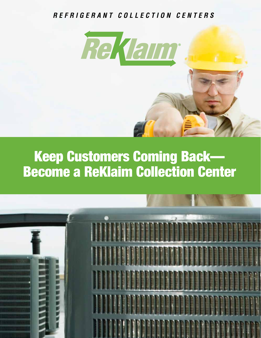## *R E F R I G E R A N T C O L L E C T I O N C E N T E R S*



## Keep Customers Coming Back— Become a ReKlaim Collection Center

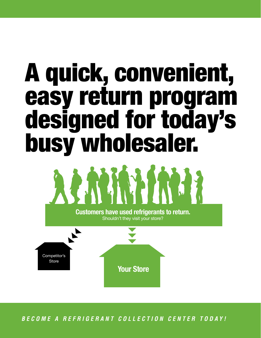# A quick, convenient, easy return program designed for today's busy wholesaler.



ASPEN supports the program with in-store promotional materials *BECOME A REFRIGERANT COLLECTION CENTER TODAY!*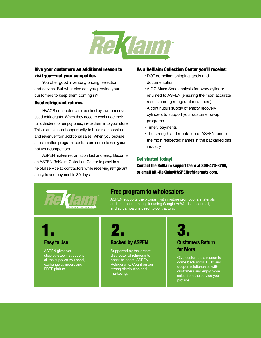

#### Give your customers an additional reason to visit you—not your competitor.

You offer good inventory, pricing, selection and service. But what else can you provide your store and service. But what else can you provide your store of  $\cdot$  A GC Mass customers to keep them coming in?

#### Used refrigerant returns.

HVACR contractors are required by law to recover used refrigerants. When they need to exchange their full cylinders for empty ones, invite them into your store. This is an excellent opportunity to build relationships and revenue from additional sales. When you provide a reclamation program, contractors come to see **you**, the not your competitors.

ASPEN makes reclamation fast and easy. Become an ASPEN ReKlaim Collection Center to provide a helpful service to contractors while receiving refrigerant analysis and payment in 30 days.

#### As a ReKlaim Collection Center you'll receive:

- **ur competitor.**<br> **CUST COMPETITION CONSTRUSTED CONSTRUSTION CONFIDENTIAL STATE** documentation
	- A GC Mass Spec analysis for every cylinder returned to ASPEN (ensuring the most accurate results among refrigerant reclaimers)
	- A continuous supply of empty recovery cylinders to support your customer swap programs
	- Timely payments
	- The strength and reputation of ASPEN, one of the most respected names in the packaged gas industry

#### Get started today!

Contact the ReKlaim support team at 800-473-3766, or email ARI-ReKlaim@ASPENrefrigerants.com.



### **Free program to wholesalers**

ASPEN supports the program with in-store promotional materials and external marketing incuding Google AdWords, direct mail, and ad campaigns direct to contractors.

# 1.

#### **Easy to Use**

ASPEN gives you step-by-step instructions, all the supplies you need, exchange cylinders and FREE pickup.



#### **Backed by ASPEN**

Supported by the largest distributor of refrigerants coast-to-coast, ASPEN Refrigerants. Count on our strong distribution and marketing.



#### **Customers Return for More**

Give customers a reason to come back soon. Build and deepen relationships with customers and enjoy more sales from the service you provide.